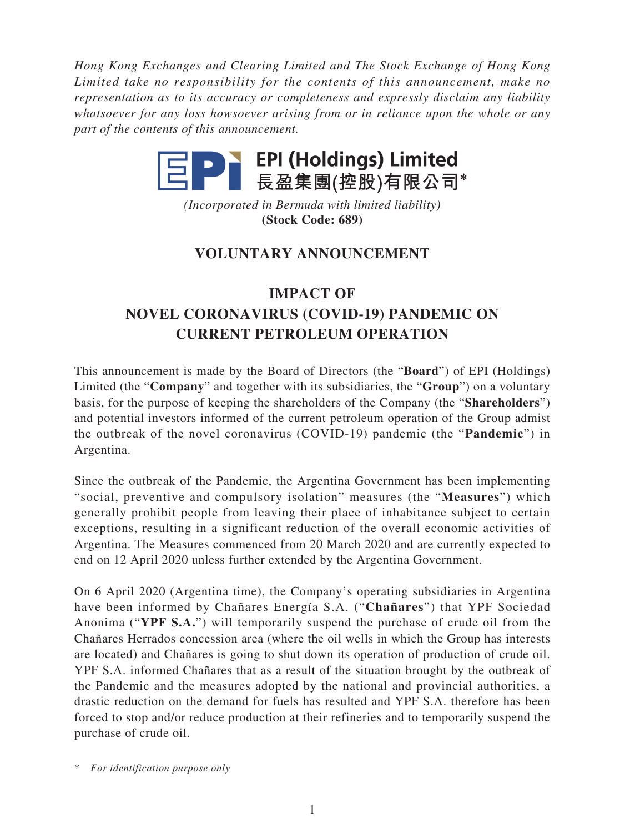*Hong Kong Exchanges and Clearing Limited and The Stock Exchange of Hong Kong Limited take no responsibility for the contents of this announcement, make no representation as to its accuracy or completeness and expressly disclaim any liability whatsoever for any loss howsoever arising from or in reliance upon the whole or any part of the contents of this announcement.*



*(Incorporated in Bermuda with limited liability)* **(Stock Code: 689)**

## **VOLUNTARY ANNOUNCEMENT**

## **IMPACT OF NOVEL CORONAVIRUS (COVID-19) PANDEMIC ON CURRENT PETROLEUM OPERATION**

This announcement is made by the Board of Directors (the "**Board**") of EPI (Holdings) Limited (the "**Company**" and together with its subsidiaries, the "**Group**") on a voluntary basis, for the purpose of keeping the shareholders of the Company (the "**Shareholders**") and potential investors informed of the current petroleum operation of the Group admist the outbreak of the novel coronavirus (COVID-19) pandemic (the "**Pandemic**") in Argentina.

Since the outbreak of the Pandemic, the Argentina Government has been implementing "social, preventive and compulsory isolation" measures (the "**Measures**") which generally prohibit people from leaving their place of inhabitance subject to certain exceptions, resulting in a significant reduction of the overall economic activities of Argentina. The Measures commenced from 20 March 2020 and are currently expected to end on 12 April 2020 unless further extended by the Argentina Government.

On 6 April 2020 (Argentina time), the Company's operating subsidiaries in Argentina have been informed by Chañares Energía S.A. ("**Chañares**") that YPF Sociedad Anonima ("**YPF S.A.**") will temporarily suspend the purchase of crude oil from the Chañares Herrados concession area (where the oil wells in which the Group has interests are located) and Chañares is going to shut down its operation of production of crude oil. YPF S.A. informed Chañares that as a result of the situation brought by the outbreak of the Pandemic and the measures adopted by the national and provincial authorities, a drastic reduction on the demand for fuels has resulted and YPF S.A. therefore has been forced to stop and/or reduce production at their refineries and to temporarily suspend the purchase of crude oil.

\* *For identification purpose only*